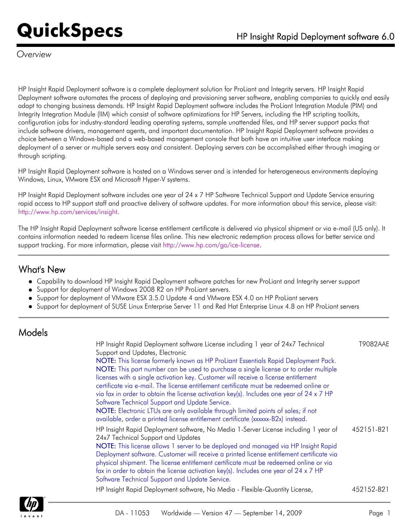#### *Overview*

HP Insight Rapid Deployment software is a complete deployment solution for ProLiant and Integrity servers. HP Insight Rapid Deployment software automates the process of deploying and provisioning server software, enabling companies to quickly and easily adapt to changing business demands. HP Insight Rapid Deployment software includes the ProLiant Integration Module (PIM) and Integrity Integration Module (IIM) which consist of software optimizations for HP Servers, including the HP scripting toolkits, configuration jobs for industry-standard leading operating systems, sample unattended files, and HP server support packs that include software drivers, management agents, and important documentation. HP Insight Rapid Deployment software provides a choice between a Windows-based and a web-based management console that both have an intuitive user interface making deployment of a server or multiple servers easy and consistent. Deploying servers can be accomplished either through imaging or through scripting.

HP Insight Rapid Deployment software is hosted on a Windows server and is intended for heterogeneous environments deploying Windows, Linux, VMware ESX and Microsoft Hyper-V systems.

HP Insight Rapid Deployment software includes one year of 24 x 7 HP Software Technical Support and Update Service ensuring rapid access to HP support staff and proactive delivery of software updates. For more information about this service, please visit: [http://www.hp.com/services/insight.](http://www.hp.com/services/insight)

The HP Insight Rapid Deployment software license entitlement certificate is delivered via physical shipment or via e-mail (US only). It contains information needed to redeem license files online. This new electronic redemption process allows for better service and support tracking. For more information, please visit <http://www.hp.com/go/ice-license>.

#### What's New

- Capability to download HP Insight Rapid Deployment software patches for new ProLiant and Integrity server support
- Support for deployment of Windows 2008 R2 on HP ProLiant servers.
- Support for deployment of VMware ESX 3.5.0 Update 4 and VMware ESX 4.0 on HP ProLiant servers
- Support for deployment of SUSE Linux Enterprise Server 11 and Red Hat Enterprise Linux 4.8 on HP ProLiant servers

#### Models

| Support and Updates, Electronic<br>NOTE: This license formerly known as HP ProLiant Essentials Rapid Deployment Pack.<br>NOTE: This part number can be used to purchase a single license or to order multiple                                                                                                                                                                                                                                                                                                                                  |            |
|------------------------------------------------------------------------------------------------------------------------------------------------------------------------------------------------------------------------------------------------------------------------------------------------------------------------------------------------------------------------------------------------------------------------------------------------------------------------------------------------------------------------------------------------|------------|
| licenses with a single activation key. Customer will receive a license entitlement<br>certificate via e-mail. The license entitlement certificate must be redeemed online or<br>via fax in order to obtain the license activation key(s). Includes one year of 24 x 7 HP<br>Software Technical Support and Update Service.<br>NOTE: Electronic LTUs are only available through limited points of sales; if not<br>available, order a printed license entitlement certificate (xxxxx-B2x) instead.                                              |            |
| HP Insight Rapid Deployment software, No Media 1-Server License including 1 year of<br>24x7 Technical Support and Updates<br>NOTE: This license allows 1 server to be deployed and managed via HP Insight Rapid<br>Deployment software. Customer will receive a printed license entitlement certificate via<br>physical shipment. The license entitlement certificate must be redeemed online or via<br>fax in order to obtain the license activation key(s). Includes one year of 24 x 7 HP<br>Software Technical Support and Update Service. | 452151-B21 |
| HP Insight Rapid Deployment software, No Media - Flexible-Quantity License,                                                                                                                                                                                                                                                                                                                                                                                                                                                                    | 452152-B21 |

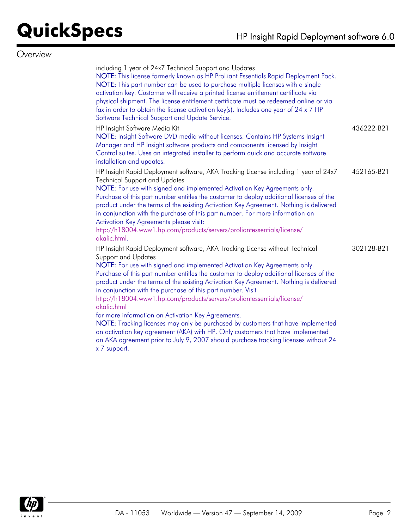#### *Overview*

| including 1 year of 24x7 Technical Support and Updates<br>NOTE: This license formerly known as HP ProLiant Essentials Rapid Deployment Pack.<br>NOTE: This part number can be used to purchase multiple licenses with a single<br>activation key. Customer will receive a printed license entitlement certificate via<br>physical shipment. The license entitlement certificate must be redeemed online or via<br>fax in order to obtain the license activation key(s). Includes one year of 24 x 7 HP<br>Software Technical Support and Update Service.                                                                                                                                                                                                                                                                                          |            |
|---------------------------------------------------------------------------------------------------------------------------------------------------------------------------------------------------------------------------------------------------------------------------------------------------------------------------------------------------------------------------------------------------------------------------------------------------------------------------------------------------------------------------------------------------------------------------------------------------------------------------------------------------------------------------------------------------------------------------------------------------------------------------------------------------------------------------------------------------|------------|
| HP Insight Software Media Kit<br>NOTE: Insight Software DVD media without licenses. Contains HP Systems Insight<br>Manager and HP Insight software products and components licensed by Insight<br>Control suites. Uses an integrated installer to perform quick and accurate software<br>installation and updates.                                                                                                                                                                                                                                                                                                                                                                                                                                                                                                                                | 436222-B21 |
| HP Insight Rapid Deployment software, AKA Tracking License including 1 year of 24x7<br><b>Technical Support and Updates</b><br>NOTE: For use with signed and implemented Activation Key Agreements only.<br>Purchase of this part number entitles the customer to deploy additional licenses of the<br>product under the terms of the existing Activation Key Agreement. Nothing is delivered<br>in conjunction with the purchase of this part number. For more information on<br>Activation Key Agreements please visit:<br>http://h18004.www1.hp.com/products/servers/proliantessentials/license/<br>akalic.html.                                                                                                                                                                                                                               | 452165-B21 |
| HP Insight Rapid Deployment software, AKA Tracking License without Technical<br>Support and Updates<br>NOTE: For use with signed and implemented Activation Key Agreements only.<br>Purchase of this part number entitles the customer to deploy additional licenses of the<br>product under the terms of the existing Activation Key Agreement. Nothing is delivered<br>in conjunction with the purchase of this part number. Visit<br>http://h18004.www1.hp.com/products/servers/proliantessentials/license/<br>akalic.html<br>for more information on Activation Key Agreements.<br>NOTE: Tracking licenses may only be purchased by customers that have implemented<br>an activation key agreement (AKA) with HP. Only customers that have implemented<br>an AKA agreement prior to July 9, 2007 should purchase tracking licenses without 24 | 302128-B21 |

x 7 support.

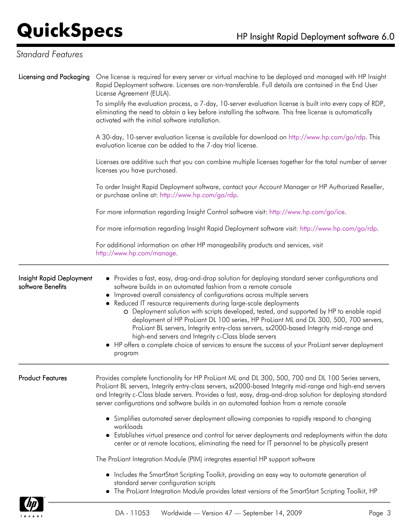### *Standard Features*

| Licensing and Packaging                       | One license is required for every server or virtual machine to be deployed and managed with HP Insight<br>Rapid Deployment software. Licenses are non-transferable. Full details are contained in the End User<br>License Agreement (EULA).<br>To simplify the evaluation process, a 7-day, 10-server evaluation license is built into every copy of RDP,<br>eliminating the need to obtain a key before installing the software. This free license is automatically<br>activated with the initial software installation.                                                                                                                                                                                                                                                   |  |  |  |  |
|-----------------------------------------------|-----------------------------------------------------------------------------------------------------------------------------------------------------------------------------------------------------------------------------------------------------------------------------------------------------------------------------------------------------------------------------------------------------------------------------------------------------------------------------------------------------------------------------------------------------------------------------------------------------------------------------------------------------------------------------------------------------------------------------------------------------------------------------|--|--|--|--|
|                                               | A 30-day, 10-server evaluation license is available for download on http://www.hp.com/go/rdp. This<br>evaluation license can be added to the 7-day trial license.<br>Licenses are additive such that you can combine multiple licenses together for the total number of server<br>licenses you have purchased.<br>To order Insight Rapid Deployment software, contact your Account Manager or HP Authorized Reseller,<br>or purchase online at: http://www.hp.com/go/rdp.                                                                                                                                                                                                                                                                                                   |  |  |  |  |
|                                               |                                                                                                                                                                                                                                                                                                                                                                                                                                                                                                                                                                                                                                                                                                                                                                             |  |  |  |  |
|                                               |                                                                                                                                                                                                                                                                                                                                                                                                                                                                                                                                                                                                                                                                                                                                                                             |  |  |  |  |
|                                               | For more information regarding Insight Control software visit: http://www.hp.com/go/ice.<br>For more information regarding Insight Rapid Deployment software visit: http://www.hp.com/go/rdp.                                                                                                                                                                                                                                                                                                                                                                                                                                                                                                                                                                               |  |  |  |  |
|                                               |                                                                                                                                                                                                                                                                                                                                                                                                                                                                                                                                                                                                                                                                                                                                                                             |  |  |  |  |
|                                               | For additional information on other HP manageability products and services, visit<br>http://www.hp.com/manage.                                                                                                                                                                                                                                                                                                                                                                                                                                                                                                                                                                                                                                                              |  |  |  |  |
| Insight Rapid Deployment<br>software Benefits | • Provides a fast, easy, drag-and-drop solution for deploying standard server configurations and<br>software builds in an automated fashion from a remote console<br>• Improved overall consistency of configurations across multiple servers<br>Reduced IT resource requirements during large-scale deployments<br>O Deployment solution with scripts developed, tested, and supported by HP to enable rapid<br>deployment of HP ProLiant DL 100 series, HP ProLiant ML and DL 300, 500, 700 servers,<br>ProLiant BL servers, Integrity entry-class servers, sx2000-based Integrity mid-range and<br>high-end servers and Integrity c-Class blade servers<br>• HP offers a complete choice of services to ensure the success of your ProLiant server deployment<br>program |  |  |  |  |
| <b>Product Features</b>                       | Provides complete functionality for HP ProLiant ML and DL 300, 500, 700 and DL 100 Series servers,<br>ProLiant BL servers, Integrity entry-class servers, sx2000-based Integrity mid-range and high-end servers<br>and Integrity c-Class blade servers. Provides a fast, easy, drag-and-drop solution for deploying standard<br>server configurations and software builds in an automated fashion from a remote console                                                                                                                                                                                                                                                                                                                                                     |  |  |  |  |
|                                               | • Simplifies automated server deployment allowing companies to rapidly respond to changing                                                                                                                                                                                                                                                                                                                                                                                                                                                                                                                                                                                                                                                                                  |  |  |  |  |
|                                               | workloads<br>Establishes virtual presence and control for server deployments and redeployments within the data<br>center or at remote locations, eliminating the need for IT personnel to be physically present                                                                                                                                                                                                                                                                                                                                                                                                                                                                                                                                                             |  |  |  |  |
|                                               | The ProLiant Integration Module (PIM) integrates essential HP support software                                                                                                                                                                                                                                                                                                                                                                                                                                                                                                                                                                                                                                                                                              |  |  |  |  |
|                                               | . Includes the SmartStart Scripting Toolkit, providing an easy way to automate generation of<br>standard server configuration scripts<br>The ProLiant Integration Module provides latest versions of the SmartStart Scripting Toolkit, HP                                                                                                                                                                                                                                                                                                                                                                                                                                                                                                                                   |  |  |  |  |

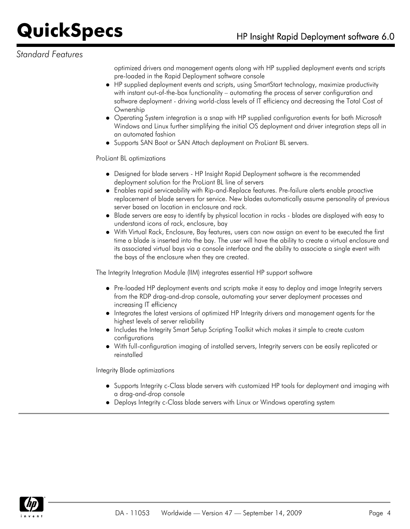#### *Standard Features*

optimized drivers and management agents along with HP supplied deployment events and scripts pre-loaded in the Rapid Deployment software console

- HP supplied deployment events and scripts, using SmartStart technology, maximize productivity with instant out-of-the-box functionality – automating the process of server configuration and software deployment - driving world-class levels of IT efficiency and decreasing the Total Cost of **Ownership**
- Operating System integration is a snap with HP supplied configuration events for both Microsoft Windows and Linux further simplifying the initial OS deployment and driver integration steps all in an automated fashion
- Supports SAN Boot or SAN Attach deployment on ProLiant BL servers.

ProLiant BL optimizations

- Designed for blade servers HP Insight Rapid Deployment software is the recommended deployment solution for the ProLiant BL line of servers
- Enables rapid serviceability with Rip-and-Replace features. Pre-failure alerts enable proactive replacement of blade servers for service. New blades automatically assume personality of previous server based on location in enclosure and rack.
- Blade servers are easy to identify by physical location in racks blades are displayed with easy to understand icons of rack, enclosure, bay
- With Virtual Rack, Enclosure, Bay features, users can now assign an event to be executed the first time a blade is inserted into the bay. The user will have the ability to create a virtual enclosure and its associated virtual bays via a console interface and the ability to associate a single event with the bays of the enclosure when they are created.

The Integrity Integration Module (IIM) integrates essential HP support software

- Pre-loaded HP deployment events and scripts make it easy to deploy and image Integrity servers from the RDP drag-and-drop console, automating your server deployment processes and increasing IT efficiency
- Integrates the latest versions of optimized HP Integrity drivers and management agents for the highest levels of server reliability
- Includes the Integrity Smart Setup Scripting Toolkit which makes it simple to create custom configurations
- With full-configuration imaging of installed servers, Integrity servers can be easily replicated or reinstalled

Integrity Blade optimizations

- Supports Integrity c-Class blade servers with customized HP tools for deployment and imaging with a drag-and-drop console
- Deploys Integrity c-Class blade servers with Linux or Windows operating system

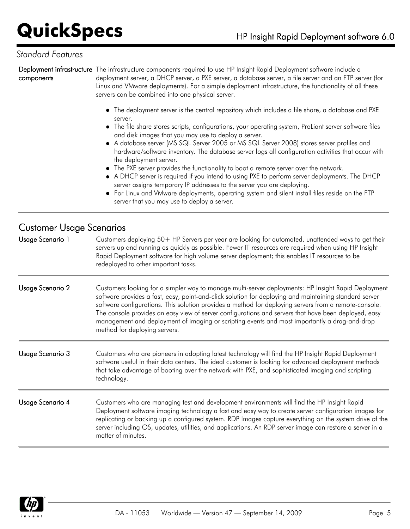#### *Standard Features*

**Deployment infrastructure** The infrastructure components required to use HP Insight Rapid Deployment software include a components deployment server, a DHCP server, a PXE server, a database server, a file server and an FTP server (for Linux and VMware deployments). For a simple deployment infrastructure, the functionality of all these servers can be combined into one physical server. The deployment server is the central repository which includes a file share, a database and PXE server. The file share stores scripts, configurations, your operating system, ProLiant server software files and disk images that you may use to deploy a server. A database server (MS SQL Server 2005 or MS SQL Server 2008) stores server profiles and hardware/software inventory. The database server logs all configuration activities that occur with the deployment server. The PXE server provides the functionality to boot a remote server over the network. A DHCP server is required if you intend to using PXE to perform server deployments. The DHCP server assigns temporary IP addresses to the server you are deploying.

For Linux and VMware deployments, operating system and silent install files reside on the FTP server that you may use to deploy a server.

#### Customer Usage Scenarios

Usage Scenario 1 Customers deploying 50+ HP Servers per year are looking for automated, unattended ways to get their servers up and running as quickly as possible. Fewer IT resources are required when using HP Insight Rapid Deployment software for high volume server deployment; this enables IT resources to be redeployed to other important tasks. Usage Scenario 2 Customers looking for a simpler way to manage multi-server deployments: HP Insight Rapid Deployment software provides a fast, easy, point-and-click solution for deploying and maintaining standard server software configurations. This solution provides a method for deploying servers from a remote-console. The console provides an easy view of server configurations and servers that have been deployed, easy management and deployment of imaging or scripting events and most importantly a drag-and-drop method for deploying servers. Usage Scenario 3 Customers who are pioneers in adopting latest technology will find the HP Insight Rapid Deployment software useful in their data centers. The ideal customer is looking for advanced deployment methods that take advantage of booting over the network with PXE, and sophisticated imaging and scripting technology. Usage Scenario 4 Customers who are managing test and development environments will find the HP Insight Rapid Deployment software imaging technology a fast and easy way to create server configuration images for replicating or backing up a configured system. RDP Images capture everything on the system drive of the server including OS, updates, utilities, and applications. An RDP server image can restore a server in a matter of minutes.

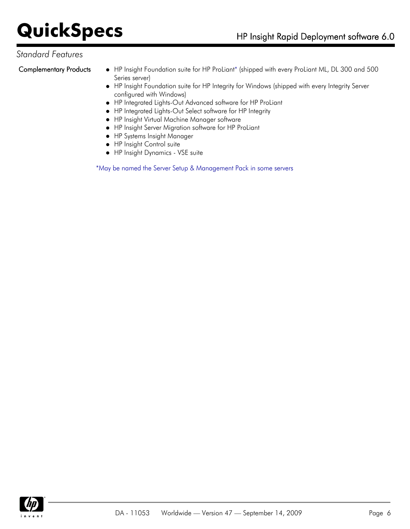#### *Standard Features*

- Complementary Products . IP Insight Foundation suite for HP ProLiant\* (shipped with every ProLiant ML, DL 300 and 500 Series server)
	- HP Insight Foundation suite for HP Integrity for Windows (shipped with every Integrity Server configured with Windows)
	- HP Integrated Lights-Out Advanced software for HP ProLiant
	- HP Integrated Lights-Out Select software for HP Integrity
	- HP Insight Virtual Machine Manager software
	- HP Insight Server Migration software for HP ProLiant
	- HP Systems Insight Manager
	- **•** HP Insight Control suite
	- HP Insight Dynamics VSE suite

\*May be named the Server Setup & Management Pack in some servers

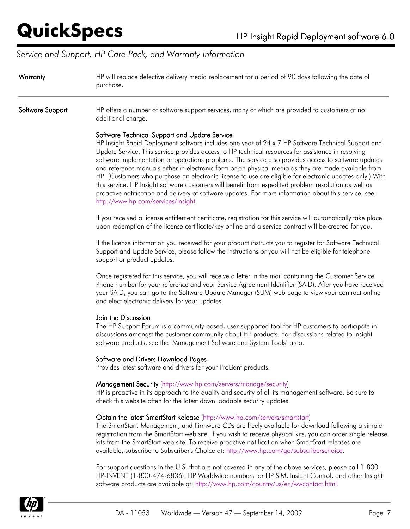### *Service and Support, HP Care Pack, and Warranty Information*

| Warranty         | HP will replace defective delivery media replacement for a period of 90 days following the date of<br>purchase.                                                                                                                                                                                                                                                                                                                                                                                                                                                                                                                                                                                                                                                                                                                                 |  |  |  |
|------------------|-------------------------------------------------------------------------------------------------------------------------------------------------------------------------------------------------------------------------------------------------------------------------------------------------------------------------------------------------------------------------------------------------------------------------------------------------------------------------------------------------------------------------------------------------------------------------------------------------------------------------------------------------------------------------------------------------------------------------------------------------------------------------------------------------------------------------------------------------|--|--|--|
| Software Support | HP offers a number of software support services, many of which are provided to customers at no<br>additional charge.                                                                                                                                                                                                                                                                                                                                                                                                                                                                                                                                                                                                                                                                                                                            |  |  |  |
|                  | Software Technical Support and Update Service<br>HP Insight Rapid Deployment software includes one year of 24 x 7 HP Software Technical Support and<br>Update Service. This service provides access to HP technical resources for assistance in resolving<br>software implementation or operations problems. The service also provides access to software updates<br>and reference manuals either in electronic form or on physical media as they are made available from<br>HP. (Customers who purchase an electronic license to use are eligible for electronic updates only.) With<br>this service, HP Insight software customers will benefit from expedited problem resolution as well as<br>proactive notification and delivery of software updates. For more information about this service, see:<br>http://www.hp.com/services/insight. |  |  |  |
|                  | If you received a license entitlement certificate, registration for this service will automatically take place<br>upon redemption of the license certificate/key online and a service contract will be created for you.                                                                                                                                                                                                                                                                                                                                                                                                                                                                                                                                                                                                                         |  |  |  |
|                  | If the license information you received for your product instructs you to register for Software Technical<br>Support and Update Service, please follow the instructions or you will not be eligible for telephone<br>support or product updates.                                                                                                                                                                                                                                                                                                                                                                                                                                                                                                                                                                                                |  |  |  |
|                  | Once registered for this service, you will receive a letter in the mail containing the Customer Service<br>Phone number for your reference and your Service Agreement Identifier (SAID). After you have received<br>your SAID, you can go to the Software Update Manager (SUM) web page to view your contract online<br>and elect electronic delivery for your updates.                                                                                                                                                                                                                                                                                                                                                                                                                                                                         |  |  |  |
|                  | Join the Discussion<br>The HP Support Forum is a community-based, user-supported tool for HP customers to participate in<br>discussions amongst the customer community about HP products. For discussions related to Insight<br>software products, see the "Management Software and System Tools" area.                                                                                                                                                                                                                                                                                                                                                                                                                                                                                                                                         |  |  |  |
|                  | <b>Software and Drivers Download Pages</b><br>Provides latest software and drivers for your ProLiant products.                                                                                                                                                                                                                                                                                                                                                                                                                                                                                                                                                                                                                                                                                                                                  |  |  |  |
|                  | Management Security (http://www.hp.com/servers/manage/security)<br>HP is proactive in its approach to the quality and security of all its management software. Be sure to<br>check this website often for the latest down loadable security updates.                                                                                                                                                                                                                                                                                                                                                                                                                                                                                                                                                                                            |  |  |  |
|                  | Obtain the latest SmartStart Release (http://www.hp.com/servers/smartstart)<br>The SmartStart, Management, and Firmware CDs are freely available for download following a simple<br>registration from the SmartStart web site. If you wish to receive physical kits, you can order single release<br>kits from the SmartStart web site. To receive proactive notification when SmartStart releases are<br>available, subscribe to Subscriber's Choice at: http://www.hp.com/go/subscriberschoice.                                                                                                                                                                                                                                                                                                                                               |  |  |  |
|                  | For support questions in the U.S. that are not covered in any of the above services, please call 1-800-<br>HP-INVENT (1-800-474-6836). HP Worldwide numbers for HP SIM, Insight Control, and other Insight<br>software products are available at: http://www.hp.com/country/us/en/wwcontact.html.                                                                                                                                                                                                                                                                                                                                                                                                                                                                                                                                               |  |  |  |

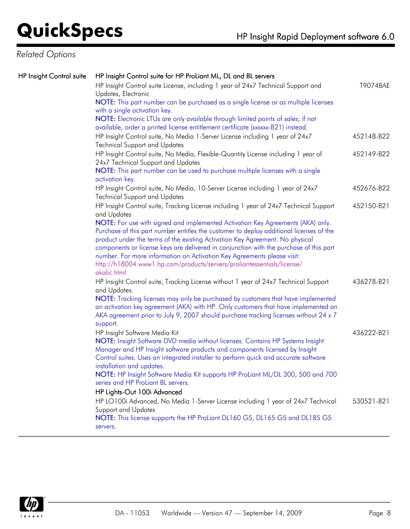### *Related Options*

| <b>HP Insight Control suite</b> | HP Insight Control suite for HP ProLiant ML, DL and BL servers                                                                                                                                                                                                                                                                                                                                                                                                                                                            |            |
|---------------------------------|---------------------------------------------------------------------------------------------------------------------------------------------------------------------------------------------------------------------------------------------------------------------------------------------------------------------------------------------------------------------------------------------------------------------------------------------------------------------------------------------------------------------------|------------|
|                                 | HP Insight Control suite License, including 1 year of 24x7 Technical Support and<br>Updates, Electronic                                                                                                                                                                                                                                                                                                                                                                                                                   | T9074BAE   |
|                                 | NOTE: This part number can be purchased as a single license or as multiple licenses<br>with a single activation key.                                                                                                                                                                                                                                                                                                                                                                                                      |            |
|                                 | NOTE: Electronic LTUs are only available through limited points of sales; if not<br>available, order a printed license entitlement certificate (xxxxx-B21) instead.                                                                                                                                                                                                                                                                                                                                                       |            |
|                                 | HP Insight Control suite, No Media 1-Server License including 1 year of 24x7<br><b>Technical Support and Updates</b>                                                                                                                                                                                                                                                                                                                                                                                                      | 452148-B22 |
|                                 | HP Insight Control suite, No Media, Flexible-Quantity License including 1 year of<br>24x7 Technical Support and Updates<br>NOTE: This part number can be used to purchase multiple licenses with a single                                                                                                                                                                                                                                                                                                                 | 452149-B22 |
|                                 | activation key.                                                                                                                                                                                                                                                                                                                                                                                                                                                                                                           |            |
|                                 | HP Insight Control suite, No Media, 10-Server License including 1 year of 24x7<br><b>Technical Support and Updates</b>                                                                                                                                                                                                                                                                                                                                                                                                    | 452676-B22 |
|                                 | HP Insight Control suite, Tracking License including 1 year of 24x7 Technical Support<br>and Updates                                                                                                                                                                                                                                                                                                                                                                                                                      | 452150-B21 |
|                                 | NOTE: For use with signed and implemented Activation Key Agreements (AKA) only.<br>Purchase of this part number entitles the customer to deploy additional licenses of the<br>product under the terms of the existing Activation Key Agreement. No physical<br>components or license keys are delivered in conjunction with the purchase of this part<br>number. For more information on Activation Key Agreements please visit:<br>http://h18004.www1.hp.com/products/servers/proliantessentials/license/<br>akalic.html |            |
|                                 | HP Insight Control suite, Tracking License without 1 year of 24x7 Technical Support<br>and Updates.<br>NOTE: Tracking licenses may only be purchased by customers that have implemented                                                                                                                                                                                                                                                                                                                                   | 436278-B21 |
|                                 | an activation key agreement (AKA) with HP. Only customers that have implemented an<br>AKA agreement prior to July 9, 2007 should purchase tracking licenses without 24 x 7<br>support.                                                                                                                                                                                                                                                                                                                                    |            |
|                                 | HP Insight Software Media Kit<br>NOTE: Insight Software DVD media without licenses. Contains HP Systems Insight<br>Manager and HP Insight software products and components licensed by Insight<br>Control suites. Uses an integrated installer to perform quick and accurate software<br>installation and updates.                                                                                                                                                                                                        | 436222-B21 |
|                                 | NOTE: HP Insight Software Media Kit supports HP ProLiant ML/DL 300, 500 and 700<br>series and HP ProLiant BL servers.                                                                                                                                                                                                                                                                                                                                                                                                     |            |
|                                 | HP Lights-Out 100i Advanced<br>HP LO100i Advanced, No Media 1-Server License including 1 year of 24x7 Technical<br><b>Support and Updates</b><br>NOTE: This license supports the HP ProLiant DL160 G5, DL165 G5 and DL185 G5<br>servers.                                                                                                                                                                                                                                                                                  | 530521-B21 |
|                                 |                                                                                                                                                                                                                                                                                                                                                                                                                                                                                                                           |            |

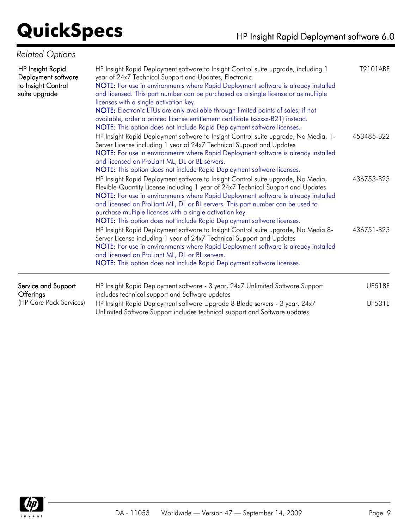### *Related Options*

| <b>HP Insight Rapid</b><br>Deployment software<br>to Insight Control<br>suite upgrade | HP Insight Rapid Deployment software to Insight Control suite upgrade, including 1<br>year of 24x7 Technical Support and Updates, Electronic<br>NOTE: For use in environments where Rapid Deployment software is already installed<br>and licensed. This part number can be purchased as a single license or as multiple<br>licenses with a single activation key.<br>NOTE: Electronic LTUs are only available through limited points of sales; if not<br>available, order a printed license entitlement certificate (xxxxxx-B21) instead.<br>NOTE: This option does not include Rapid Deployment software licenses. |               |  |
|---------------------------------------------------------------------------------------|----------------------------------------------------------------------------------------------------------------------------------------------------------------------------------------------------------------------------------------------------------------------------------------------------------------------------------------------------------------------------------------------------------------------------------------------------------------------------------------------------------------------------------------------------------------------------------------------------------------------|---------------|--|
|                                                                                       | HP Insight Rapid Deployment software to Insight Control suite upgrade, No Media, 1-<br>Server License including 1 year of 24x7 Technical Support and Updates<br>NOTE: For use in environments where Rapid Deployment software is already installed<br>and licensed on ProLiant ML, DL or BL servers.<br>NOTE: This option does not include Rapid Deployment software licenses.                                                                                                                                                                                                                                       | 453485-B22    |  |
|                                                                                       | HP Insight Rapid Deployment software to Insight Control suite upgrade, No Media,<br>Flexible-Quantity License including 1 year of 24x7 Technical Support and Updates<br>NOTE: For use in environments where Rapid Deployment software is already installed<br>and licensed on ProLiant ML, DL or BL servers. This part number can be used to<br>purchase multiple licenses with a single activation key.<br>NOTE: This option does not include Rapid Deployment software licenses.                                                                                                                                   | 436753-B23    |  |
|                                                                                       | HP Insight Rapid Deployment software to Insight Control suite upgrade, No Media 8-<br>Server License including 1 year of 24x7 Technical Support and Updates<br>NOTE: For use in environments where Rapid Deployment software is already installed<br>and licensed on ProLiant ML, DL or BL servers.<br>NOTE: This option does not include Rapid Deployment software licenses.                                                                                                                                                                                                                                        | 436751-B23    |  |
| Service and Support<br>Offerings                                                      | HP Insight Rapid Deployment software - 3 year, 24x7 Unlimited Software Support<br>includes technical support and Software updates                                                                                                                                                                                                                                                                                                                                                                                                                                                                                    | <b>UF518E</b> |  |
| (HP Care Pack Services)                                                               | HP Insight Rapid Deployment software Upgrade 8 Blade servers - 3 year, 24x7<br>Unlimited Software Support includes technical support and Software updates                                                                                                                                                                                                                                                                                                                                                                                                                                                            | <b>UF531E</b> |  |